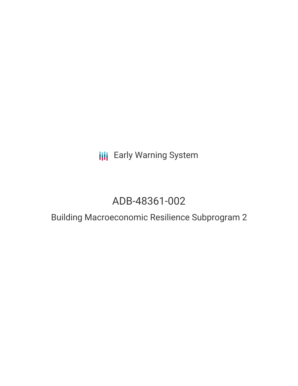**III** Early Warning System

# ADB-48361-002

## Building Macroeconomic Resilience Subprogram 2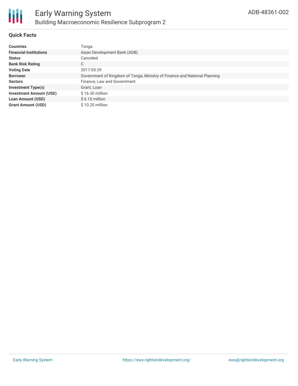

#### **Quick Facts**

| <b>Countries</b>               | Tonga                                                                     |
|--------------------------------|---------------------------------------------------------------------------|
| <b>Financial Institutions</b>  | Asian Development Bank (ADB)                                              |
| <b>Status</b>                  | Canceled                                                                  |
| <b>Bank Risk Rating</b>        | С                                                                         |
| <b>Voting Date</b>             | 2017-05-29                                                                |
| <b>Borrower</b>                | Government of Kingdom of Tonga, Ministry of Finance and National Planning |
| <b>Sectors</b>                 | Finance, Law and Government                                               |
| <b>Investment Type(s)</b>      | Grant, Loan                                                               |
| <b>Investment Amount (USD)</b> | $$16.30$ million                                                          |
| Loan Amount (USD)              | $$6.10$ million                                                           |
| <b>Grant Amount (USD)</b>      | $$10.20$ million                                                          |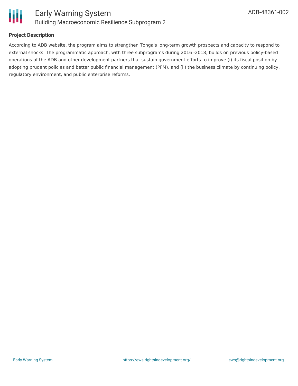

#### **Project Description**

According to ADB website, the program aims to strengthen Tonga's long-term growth prospects and capacity to respond to external shocks. The programmatic approach, with three subprograms during 2016 -2018, builds on previous policy-based operations of the ADB and other development partners that sustain government efforts to improve (i) its fiscal position by adopting prudent policies and better public financial management (PFM), and (ii) the business climate by continuing policy, regulatory environment, and public enterprise reforms.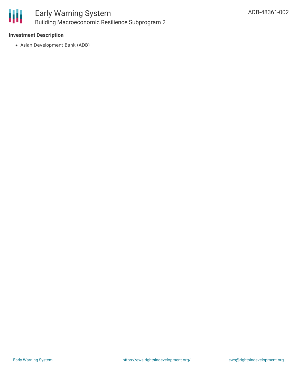

## Early Warning System Building Macroeconomic Resilience Subprogram 2

#### **Investment Description**

Asian Development Bank (ADB)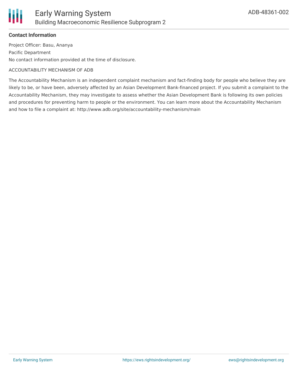

#### **Contact Information**

Project Officer: Basu, Ananya Pacific Department No contact information provided at the time of disclosure.

#### ACCOUNTABILITY MECHANISM OF ADB

The Accountability Mechanism is an independent complaint mechanism and fact-finding body for people who believe they are likely to be, or have been, adversely affected by an Asian Development Bank-financed project. If you submit a complaint to the Accountability Mechanism, they may investigate to assess whether the Asian Development Bank is following its own policies and procedures for preventing harm to people or the environment. You can learn more about the Accountability Mechanism and how to file a complaint at: http://www.adb.org/site/accountability-mechanism/main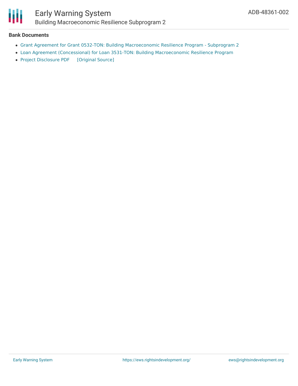

## Early Warning System Building Macroeconomic Resilience Subprogram 2

#### **Bank Documents**

- Grant Agreement for Grant 0532-TON: Building [Macroeconomic](https://www.adb.org/sites/default/files/project-documents/48361/48361-002-grj-en.pdf) Resilience Program Subprogram 2
- Loan Agreement (Concessional) for Loan 3531-TON: Building [Macroeconomic](https://www.adb.org/sites/default/files/project-documents/48361/48361-002-lna-en.pdf) Resilience Program
- Project [Disclosure](https://ewsdata.rightsindevelopment.org/files/documents/02/ADB-48361-002.pdf) PDF [\[Original](https://www.adb.org/printpdf/projects/48361-002/main) Source]